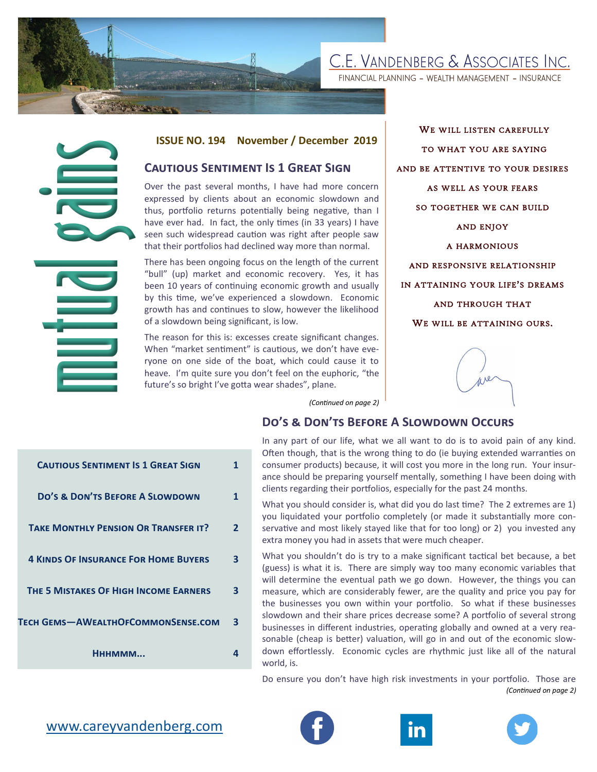# C.E. VANDENBERG & ASSOCIATES INC.

FINANCIAL PLANNING - WEALTH MANAGEMENT - INSURANCE

### **ISSUE NO. 194 November / December 2019**

## **Cautious Sentiment Is 1 Great Sign**

Over the past several months, I have had more concern expressed by clients about an economic slowdown and thus, portfolio returns potentially being negative, than I have ever had. In fact, the only times (in 33 years) I have seen such widespread caution was right after people saw that their portfolios had declined way more than normal.

There has been ongoing focus on the length of the current "bull" (up) market and economic recovery. Yes, it has been 10 years of continuing economic growth and usually by this time, we've experienced a slowdown. Economic growth has and continues to slow, however the likelihood of a slowdown being significant, is low.

The reason for this is: excesses create significant changes. When "market sentiment" is cautious, we don't have everyone on one side of the boat, which could cause it to heave. I'm quite sure you don't feel on the euphoric, "the future's so bright I've gotta wear shades", plane.

WE WILL LISTEN CAREFULLY TO WHAT YOU ARE SAYING AND BE ATTENTIVE TO YOUR DESIRES AS WELL AS YOUR FEARS SO TOGETHER WE CAN BUILD AND ENJOY A HARMONIOUS AND RESPONSIVE RELATIONSHIP IN ATTAINING YOUR LIFE'S DREAMS AND THROUGH THAT WE WILL BE ATTAINING OURS.



*(Continued on page 2)*

## **Do's & Don'ts Before A Slowdown Occurs**

| In any part of our life, what we all want to do is to avoid pain of any kind.  |
|--------------------------------------------------------------------------------|
| Often though, that is the wrong thing to do (ie buying extended warranties on  |
| consumer products) because, it will cost you more in the long run. Your insur- |
| ance should be preparing yourself mentally, something I have been doing with   |
| clients regarding their portfolios, especially for the past 24 months.         |

What you should consider is, what did you do last time? The 2 extremes are 1) you liquidated your portfolio completely (or made it substantially more conservative and most likely stayed like that for too long) or 2) you invested any extra money you had in assets that were much cheaper.

What you shouldn't do is try to a make significant tactical bet because, a bet (guess) is what it is. There are simply way too many economic variables that will determine the eventual path we go down. However, the things you can measure, which are considerably fewer, are the quality and price you pay for the businesses you own within your portfolio. So what if these businesses slowdown and their share prices decrease some? A portfolio of several strong businesses in different industries, operating globally and owned at a very reasonable (cheap is better) valuation, will go in and out of the economic slowdown effortlessly. Economic cycles are rhythmic just like all of the natural world, is.

Do ensure you don't have high risk investments in your portfolio. Those are *(Continued on page 2)*

| <b>CAUTIOUS SENTIMENT IS 1 GREAT SIGN</b>   |   |
|---------------------------------------------|---|
| <b>DO'S &amp; DON'TS BEFORE A SLOWDOWN</b>  |   |
| <b>TAKE MONTHLY PENSION OR TRANSFER IT?</b> | 2 |
| <b>4 KINDS OF INSURANCE FOR HOME BUYERS</b> | 3 |
| THE 5 MISTAKES OF HIGH INCOME EARNERS       | 3 |
| TECH GEMS-AWEALTHOFCOMMONSENSE.COM          | 3 |
| Нннммм                                      |   |
|                                             |   |





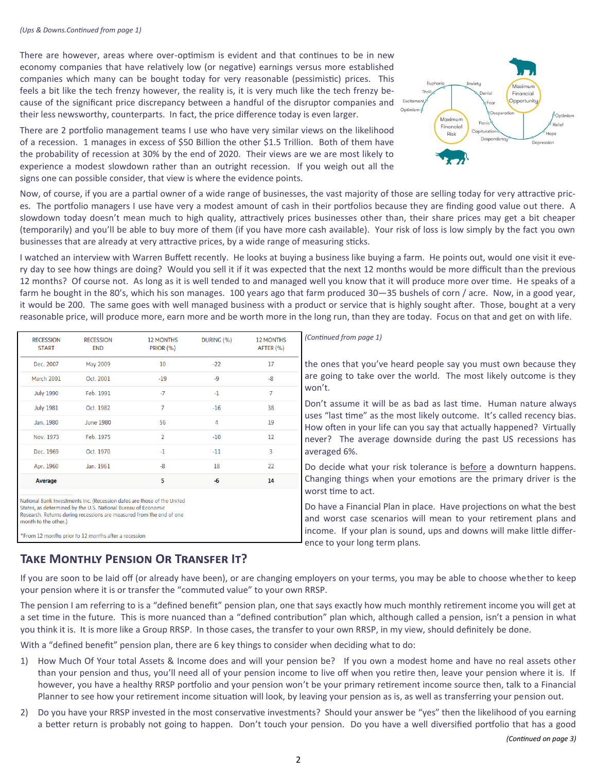There are however, areas where over-optimism is evident and that continues to be in new economy companies that have relatively low (or negative) earnings versus more established companies which many can be bought today for very reasonable (pessimistic) prices. This feels a bit like the tech frenzy however, the reality is, it is very much like the tech frenzy because of the significant price discrepancy between a handful of the disruptor companies and their less newsworthy, counterparts. In fact, the price difference today is even larger.



There are 2 portfolio management teams I use who have very similar views on the likelihood of a recession. 1 manages in excess of \$50 Billion the other \$1.5 Trillion. Both of them have the probability of recession at 30% by the end of 2020. Their views are we are most likely to experience a modest slowdown rather than an outright recession. If you weigh out all the signs one can possible consider, that view is where the evidence points.

Now, of course, if you are a partial owner of a wide range of businesses, the vast majority of those are selling today for very attractive prices. The portfolio managers I use have very a modest amount of cash in their portfolios because they are finding good value out there. A slowdown today doesn't mean much to high quality, attractively prices businesses other than, their share prices may get a bit cheaper (temporarily) and you'll be able to buy more of them (if you have more cash available). Your risk of loss is low simply by the fact you own businesses that are already at very attractive prices, by a wide range of measuring sticks.

I watched an interview with Warren Buffett recently. He looks at buying a business like buying a farm. He points out, would one visit it every day to see how things are doing? Would you sell it if it was expected that the next 12 months would be more difficult than the previous 12 months? Of course not. As long as it is well tended to and managed well you know that it will produce more over time. He speaks of a farm he bought in the 80's, which his son manages. 100 years ago that farm produced 30—35 bushels of corn / acre. Now, in a good year, it would be 200. The same goes with well managed business with a product or service that is highly sought after. Those, bought at a very reasonable price, will produce more, earn more and be worth more in the long run, than they are today. Focus on that and get on with life.

| <b>RECESSION</b><br><b>START</b>                                                                                                                                                                                                                                                                 | <b>RECESSION</b><br><b>END</b> | <b>12 MONTHS</b><br><b>PRIOR (%)</b> | DURING (%)     | <b>12 MONTHS</b><br>AFTER (%) | (Continued from page 1)                                                                                                                                                                                                                                                                             |  |
|--------------------------------------------------------------------------------------------------------------------------------------------------------------------------------------------------------------------------------------------------------------------------------------------------|--------------------------------|--------------------------------------|----------------|-------------------------------|-----------------------------------------------------------------------------------------------------------------------------------------------------------------------------------------------------------------------------------------------------------------------------------------------------|--|
| Dec. 2007                                                                                                                                                                                                                                                                                        | May 2009                       | 10                                   | $-22$          | 17                            | the ones that you've heard people say you must own because they<br>are going to take over the world. The most likely outcome is they<br>won't.                                                                                                                                                      |  |
| <b>March 2001</b>                                                                                                                                                                                                                                                                                | Oct. 2001                      | $-19$                                | $-9$           | $-8$                          |                                                                                                                                                                                                                                                                                                     |  |
| <b>July 1990</b>                                                                                                                                                                                                                                                                                 | Feb. 1991                      | $-7$                                 | $-1$           | $\overline{7}$                |                                                                                                                                                                                                                                                                                                     |  |
| <b>July 1981</b>                                                                                                                                                                                                                                                                                 | Oct. 1982                      | $\overline{7}$                       | $-16$          | 38                            | Don't assume it will be as bad as last time. Human nature always<br>uses "last time" as the most likely outcome. It's called recency bias.<br>How often in your life can you say that actually happened? Virtually<br>never? The average downside during the past US recessions has<br>averaged 6%. |  |
| Jan. 1980                                                                                                                                                                                                                                                                                        | <b>June 1980</b>               | 56                                   | $\overline{4}$ | 19                            |                                                                                                                                                                                                                                                                                                     |  |
| Nov. 1973                                                                                                                                                                                                                                                                                        | Feb. 1975                      | $\overline{2}$                       | $-10$          | $12 \overline{ }$             |                                                                                                                                                                                                                                                                                                     |  |
| Dec. 1969                                                                                                                                                                                                                                                                                        | Oct. 1970                      | $-1$                                 | $-11$          | 3                             |                                                                                                                                                                                                                                                                                                     |  |
| Apr. 1960                                                                                                                                                                                                                                                                                        | Jan. 1961                      | $-8$                                 | 18             | 22                            | Do decide what your risk tolerance is before a downturn happens.                                                                                                                                                                                                                                    |  |
| Average                                                                                                                                                                                                                                                                                          |                                | 5                                    | $-6$           | 14                            | Changing things when your emotions are the primary driver is the<br>worst time to act.                                                                                                                                                                                                              |  |
| National Bank Investments Inc. (Recession dates are those of the United<br>States, as determined by the U.S. National Bureau of Economic<br>Research. Returns during recessions are measured from the end of one<br>month to the other.)<br>*From 12 months prior to 12 months after a recession |                                |                                      |                |                               | Do have a Financial Plan in place. Have projections on what the best<br>and worst case scenarios will mean to your retirement plans and<br>income. If your plan is sound, ups and downs will make little differ-<br>ence to your long term plans.                                                   |  |

# **Take Monthly Pension Or Transfer It?**

If you are soon to be laid off (or already have been), or are changing employers on your terms, you may be able to choose whether to keep your pension where it is or transfer the "commuted value" to your own RRSP.

The pension I am referring to is a "defined benefit" pension plan, one that says exactly how much monthly retirement income you will get at a set time in the future. This is more nuanced than a "defined contribution" plan which, although called a pension, isn't a pension in what you think it is. It is more like a Group RRSP. In those cases, the transfer to your own RRSP, in my view, should definitely be done.

With a "defined benefit" pension plan, there are 6 key things to consider when deciding what to do:

- 1) How Much Of Your total Assets & Income does and will your pension be? If you own a modest home and have no real assets other than your pension and thus, you'll need all of your pension income to live off when you retire then, leave your pension where it is. If however, you have a healthy RRSP portfolio and your pension won't be your primary retirement income source then, talk to a Financial Planner to see how your retirement income situation will look, by leaving your pension as is, as well as transferring your pension out.
- 2) Do you have your RRSP invested in the most conservative investments? Should your answer be "yes" then the likelihood of you earning a better return is probably not going to happen. Don't touch your pension. Do you have a well diversified portfolio that has a good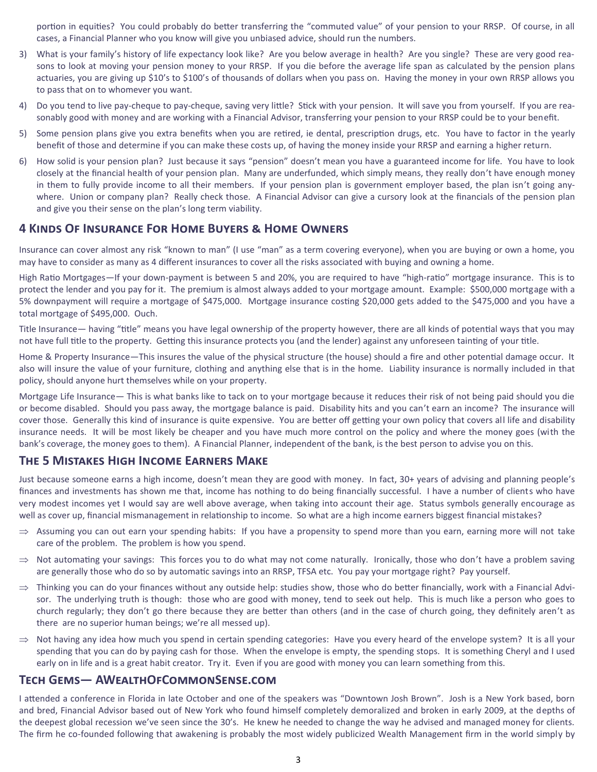portion in equities? You could probably do better transferring the "commuted value" of your pension to your RRSP. Of course, in all cases, a Financial Planner who you know will give you unbiased advice, should run the numbers.

- 3) What is your family's history of life expectancy look like? Are you below average in health? Are you single? These are very good reasons to look at moving your pension money to your RRSP. If you die before the average life span as calculated by the pension plans actuaries, you are giving up \$10's to \$100's of thousands of dollars when you pass on. Having the money in your own RRSP allows you to pass that on to whomever you want.
- 4) Do you tend to live pay-cheque to pay-cheque, saving very little? Stick with your pension. It will save you from yourself. If you are reasonably good with money and are working with a Financial Advisor, transferring your pension to your RRSP could be to your benefit.
- 5) Some pension plans give you extra benefits when you are retired, ie dental, prescription drugs, etc. You have to factor in the yearly benefit of those and determine if you can make these costs up, of having the money inside your RRSP and earning a higher return.
- 6) How solid is your pension plan? Just because it says "pension" doesn't mean you have a guaranteed income for life. You have to look closely at the financial health of your pension plan. Many are underfunded, which simply means, they really don't have enough money in them to fully provide income to all their members. If your pension plan is government employer based, the plan isn't going anywhere. Union or company plan? Really check those. A Financial Advisor can give a cursory look at the financials of the pension plan and give you their sense on the plan's long term viability.

## **4 Kinds Of Insurance For Home Buyers & Home Owners**

Insurance can cover almost any risk "known to man" (I use "man" as a term covering everyone), when you are buying or own a home, you may have to consider as many as 4 different insurances to cover all the risks associated with buying and owning a home.

High Ratio Mortgages—If your down-payment is between 5 and 20%, you are required to have "high-ratio" mortgage insurance. This is to protect the lender and you pay for it. The premium is almost always added to your mortgage amount. Example: \$500,000 mortgage with a 5% downpayment will require a mortgage of \$475,000. Mortgage insurance costing \$20,000 gets added to the \$475,000 and you have a total mortgage of \$495,000. Ouch.

Title Insurance— having "title" means you have legal ownership of the property however, there are all kinds of potential ways that you may not have full title to the property. Getting this insurance protects you (and the lender) against any unforeseen tainting of your title.

Home & Property Insurance—This insures the value of the physical structure (the house) should a fire and other potential damage occur. It also will insure the value of your furniture, clothing and anything else that is in the home. Liability insurance is normally included in that policy, should anyone hurt themselves while on your property.

Mortgage Life Insurance— This is what banks like to tack on to your mortgage because it reduces their risk of not being paid should you die or become disabled. Should you pass away, the mortgage balance is paid. Disability hits and you can't earn an income? The insurance will cover those. Generally this kind of insurance is quite expensive. You are better off getting your own policy that covers all life and disability insurance needs. It will be most likely be cheaper and you have much more control on the policy and where the money goes (with the bank's coverage, the money goes to them). A Financial Planner, independent of the bank, is the best person to advise you on this.

### **The 5 Mistakes High Income Earners Make**

Just because someone earns a high income, doesn't mean they are good with money. In fact, 30+ years of advising and planning people's finances and investments has shown me that, income has nothing to do being financially successful. I have a number of clients who have very modest incomes yet I would say are well above average, when taking into account their age. Status symbols generally encourage as well as cover up, financial mismanagement in relationship to income. So what are a high income earners biggest financial mistakes?

- $\Rightarrow$  Assuming you can out earn your spending habits: If you have a propensity to spend more than you earn, earning more will not take care of the problem. The problem is how you spend.
- $\Rightarrow$  Not automating your savings: This forces you to do what may not come naturally. Ironically, those who don't have a problem saving are generally those who do so by automatic savings into an RRSP, TFSA etc. You pay your mortgage right? Pay yourself.
- $\Rightarrow$  Thinking you can do your finances without any outside help: studies show, those who do better financially, work with a Financial Advisor. The underlying truth is though: those who are good with money, tend to seek out help. This is much like a person who goes to church regularly; they don't go there because they are better than others (and in the case of church going, they definitely aren't as there are no superior human beings; we're all messed up).
- $\Rightarrow$  Not having any idea how much you spend in certain spending categories: Have you every heard of the envelope system? It is all your spending that you can do by paying cash for those. When the envelope is empty, the spending stops. It is something Cheryl and I used early on in life and is a great habit creator. Try it. Even if you are good with money you can learn something from this.

## **Tech Gems— AWealthOfCommonSense.com**

I attended a conference in Florida in late October and one of the speakers was "Downtown Josh Brown". Josh is a New York based, born and bred, Financial Advisor based out of New York who found himself completely demoralized and broken in early 2009, at the depths of the deepest global recession we've seen since the 30's. He knew he needed to change the way he advised and managed money for clients. The firm he co-founded following that awakening is probably the most widely publicized Wealth Management firm in the world simply by